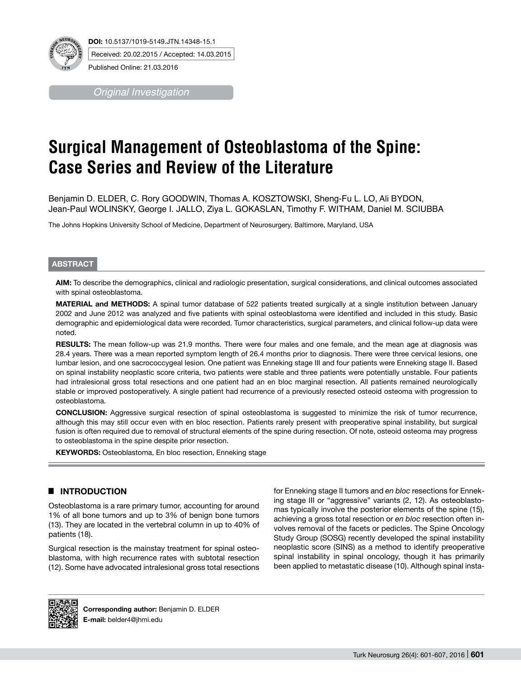

*Original Investigation*

# **Surgical Management of Osteoblastoma of the Spine: Case Series and Review of the Literature**

Benjamin D. ELDER, C. Rory GOODWIN, Thomas A. KOSZTOWSKI, Sheng-Fu L. LO, Ali BYDON, Jean-Paul WOLINSKY, George I. JALLO, Ziya L. GOKASLAN, Timothy F. WITHAM, Daniel M. SCIUBBA

The Johns Hopkins University School of Medicine, Department of Neurosurgery, Baltimore, Maryland, USA

#### **ABSTRACT**

**AIm:** To describe the demographics, clinical and radiologic presentation, surgical considerations, and clinical outcomes associated with spinal osteoblastoma.

**MaterIal and Methods:** A spinal tumor database of 522 patients treated surgically at a single institution between January 2002 and June 2012 was analyzed and five patients with spinal osteoblastoma were identified and included in this study. Basic demographic and epidemiological data were recorded. Tumor characteristics, surgical parameters, and clinical follow-up data were noted.

**Results:** The mean follow-up was 21.9 months. There were four males and one female, and the mean age at diagnosis was 28.4 years. There was a mean reported symptom length of 26.4 months prior to diagnosis. There were three cervical lesions, one lumbar lesion, and one sacrococcygeal lesion. One patient was Enneking stage III and four patients were Enneking stage II. Based on spinal instability neoplastic score criteria, two patients were stable and three patients were potentially unstable. Four patients had intralesional gross total resections and one patient had an en bloc marginal resection. All patients remained neurologically stable or improved postoperatively. A single patient had recurrence of a previously resected osteoid osteoma with progression to osteoblastoma.

**ConclusIon:** Aggressive surgical resection of spinal osteoblastoma is suggested to minimize the risk of tumor recurrence, although this may still occur even with en bloc resection. Patients rarely present with preoperative spinal instability, but surgical fusion is often required due to removal of structural elements of the spine during resection. Of note, osteoid osteoma may progress to osteoblastoma in the spine despite prior resection.

**KEYWORDS:** Osteoblastoma, En bloc resection, Enneking stage

# █ **INTRODUCTION**

Osteoblastoma is a rare primary tumor, accounting for around 1% of all bone tumors and up to 3% of benign bone tumors (13). They are located in the vertebral column in up to 40% of patients (18).

Surgical resection is the mainstay treatment for spinal osteoblastoma, with high recurrence rates with subtotal resection (12). Some have advocated intralesional gross total resections for Enneking stage II tumors and *en bloc* resections for Enneking stage III or "aggressive" variants (2, 12). As osteoblastomas typically involve the posterior elements of the spine (15), achieving a gross total resection or *en bloc* resection often involves removal of the facets or pedicles. The Spine Oncology Study Group (SOSG) recently developed the spinal instability neoplastic score (SINS) as a method to identify preoperative spinal instability in spinal oncology, though it has primarily been applied to metastatic disease (10). Although spinal insta-



**Corresponding author:** Benjamin D. ELDER **E-mail:** belder4@jhmi.edu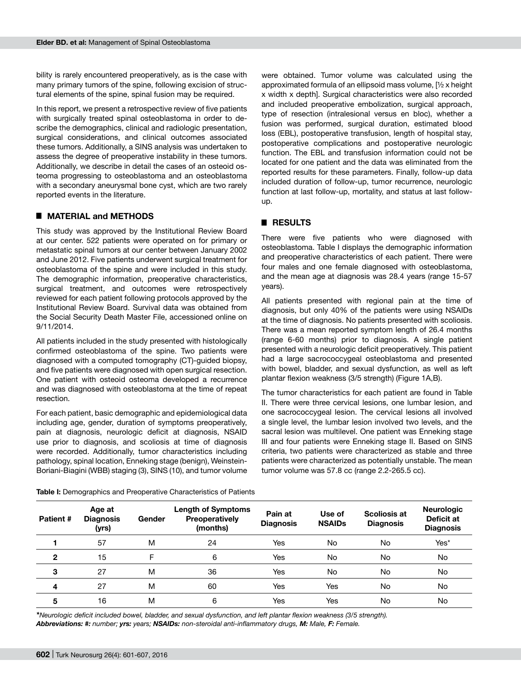bility is rarely encountered preoperatively, as is the case with many primary tumors of the spine, following excision of structural elements of the spine, spinal fusion may be required.

In this report, we present a retrospective review of five patients with surgically treated spinal osteoblastoma in order to describe the demographics, clinical and radiologic presentation, surgical considerations, and clinical outcomes associated these tumors. Additionally, a SINS analysis was undertaken to assess the degree of preoperative instability in these tumors. Additionally, we describe in detail the cases of an osteoid osteoma progressing to osteoblastoma and an osteoblastoma with a secondary aneurysmal bone cyst, which are two rarely reported events in the literature.

## █ **MATERIAL and METHODS**

This study was approved by the Institutional Review Board at our center. 522 patients were operated on for primary or metastatic spinal tumors at our center between January 2002 and June 2012. Five patients underwent surgical treatment for osteoblastoma of the spine and were included in this study. The demographic information, preoperative characteristics, surgical treatment, and outcomes were retrospectively reviewed for each patient following protocols approved by the Institutional Review Board. Survival data was obtained from the Social Security Death Master File, accessioned online on 9/11/2014.

All patients included in the study presented with histologically confirmed osteoblastoma of the spine. Two patients were diagnosed with a computed tomography (CT)-guided biopsy, and five patients were diagnosed with open surgical resection. One patient with osteoid osteoma developed a recurrence and was diagnosed with osteoblastoma at the time of repeat resection.

For each patient, basic demographic and epidemiological data including age, gender, duration of symptoms preoperatively, pain at diagnosis, neurologic deficit at diagnosis, NSAID use prior to diagnosis, and scoliosis at time of diagnosis were recorded. Additionally, tumor characteristics including pathology, spinal location, Enneking stage (benign), Weinstein-Boriani-Biagini (WBB) staging (3), SINS (10), and tumor volume

were obtained. Tumor volume was calculated using the approximated formula of an ellipsoid mass volume, [½ x height x width x depth]. Surgical characteristics were also recorded and included preoperative embolization, surgical approach, type of resection (intralesional versus en bloc), whether a fusion was performed, surgical duration, estimated blood loss (EBL), postoperative transfusion, length of hospital stay, postoperative complications and postoperative neurologic function. The EBL and transfusion information could not be located for one patient and the data was eliminated from the reported results for these parameters. Finally, follow-up data included duration of follow-up, tumor recurrence, neurologic function at last follow-up, mortality, and status at last followup.

#### █ **RESULTS**

There were five patients who were diagnosed with osteoblastoma. Table I displays the demographic information and preoperative characteristics of each patient. There were four males and one female diagnosed with osteoblastoma, and the mean age at diagnosis was 28.4 years (range 15-57 years).

All patients presented with regional pain at the time of diagnosis, but only 40% of the patients were using NSAIDs at the time of diagnosis. No patients presented with scoliosis. There was a mean reported symptom length of 26.4 months (range 6-60 months) prior to diagnosis. A single patient presented with a neurologic deficit preoperatively. This patient had a large sacrococcygeal osteoblastoma and presented with bowel, bladder, and sexual dysfunction, as well as left plantar flexion weakness (3/5 strength) (Figure 1A,B).

The tumor characteristics for each patient are found in Table II. There were three cervical lesions, one lumbar lesion, and one sacrococcygeal lesion. The cervical lesions all involved a single level, the lumbar lesion involved two levels, and the sacral lesion was multilevel. One patient was Enneking stage III and four patients were Enneking stage II. Based on SINS criteria, two patients were characterized as stable and three patients were characterized as potentially unstable. The mean tumor volume was 57.8 cc (range 2.2-265.5 cc).

| Patient#     | Age at<br><b>Diagnosis</b><br>(yrs) | Gender | Length of Symptoms<br>Preoperatively<br>(months) | Pain at<br><b>Diagnosis</b> | Use of<br><b>NSAIDs</b> | <b>Scoliosis at</b><br><b>Diagnosis</b> | <b>Neurologic</b><br>Deficit at<br><b>Diagnosis</b> |
|--------------|-------------------------------------|--------|--------------------------------------------------|-----------------------------|-------------------------|-----------------------------------------|-----------------------------------------------------|
|              | 57                                  | M      | 24                                               | Yes                         | No                      | No                                      | Yes*                                                |
| $\mathbf{2}$ | 15                                  | F      | 6                                                | Yes                         | No                      | No                                      | No                                                  |
| 3            | 27                                  | M      | 36                                               | Yes                         | No                      | No                                      | No                                                  |
| 4            | 27                                  | M      | 60                                               | Yes                         | Yes                     | No                                      | No.                                                 |
| 5            | 16                                  | M      | 6                                                | Yes                         | Yes                     | No                                      | No                                                  |

**Table I:** Demographics and Preoperative Characteristics of Patients

*\*Neurologic deficit included bowel, bladder, and sexual dysfunction, and left plantar flexion weakness (3/5 strength). Abbreviations: #: number; yrs: years; NSAIDs: non-steroidal anti-inflammatory drugs, M: Male, F: Female.*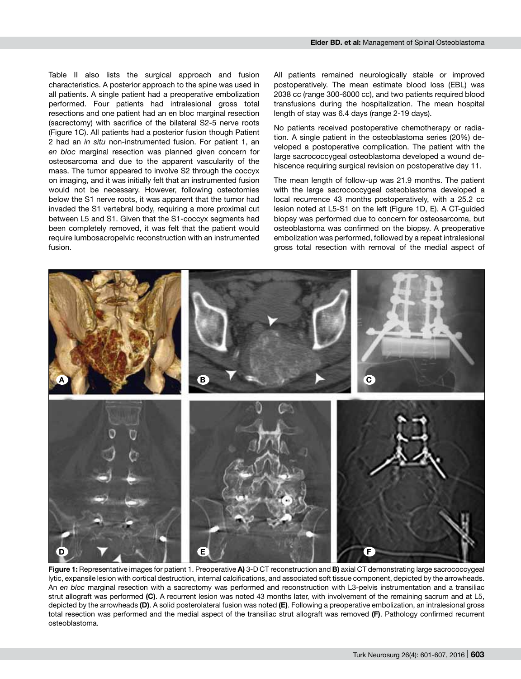Table II also lists the surgical approach and fusion characteristics. A posterior approach to the spine was used in all patients. A single patient had a preoperative embolization performed. Four patients had intralesional gross total resections and one patient had an en bloc marginal resection (sacrectomy) with sacrifice of the bilateral S2-5 nerve roots (Figure 1c). All patients had a posterior fusion though Patient 2 had an *in situ* non-instrumented fusion. For patient 1, an *en bloc* marginal resection was planned given concern for osteosarcoma and due to the apparent vascularity of the mass. The tumor appeared to involve S2 through the coccyx on imaging, and it was initially felt that an instrumented fusion would not be necessary. However, following osteotomies below the S1 nerve roots, it was apparent that the tumor had invaded the S1 vertebral body, requiring a more proximal cut between L5 and S1. Given that the S1-coccyx segments had been completely removed, it was felt that the patient would require lumbosacropelvic reconstruction with an instrumented fusion.

All patients remained neurologically stable or improved postoperatively. The mean estimate blood loss (EBL) was 2038 cc (range 300-6000 cc), and two patients required blood transfusions during the hospitalization. The mean hospital length of stay was 6.4 days (range 2-19 days).

No patients received postoperative chemotherapy or radiation. A single patient in the osteoblastoma series (20%) developed a postoperative complication. The patient with the large sacrococcygeal osteoblastoma developed a wound dehiscence requiring surgical revision on postoperative day 11.

The mean length of follow-up was 21.9 months. The patient with the large sacrococcygeal osteoblastoma developed a local recurrence 43 months postoperatively, with a 25.2 cc lesion noted at L5-S1 on the left (Figure 1D, E). A CT-quided biopsy was performed due to concern for osteosarcoma, but osteoblastoma was confirmed on the biopsy. A preoperative embolization was performed, followed by a repeat intralesional gross total resection with removal of the medial aspect of



**Figure 1:** Representative images for patient 1. Preoperative **a)** 3-D CT reconstruction and **b)** axial CT demonstrating large sacrococcygeal lytic, expansile lesion with cortical destruction, internal calcifications, and associated soft tissue component, depicted by the arrowheads. An *en bloc* marginal resection with a sacrectomy was performed and reconstruction with L3-pelvis instrumentation and a transiliac strut allograft was performed **(c)**. A recurrent lesion was noted 43 months later, with involvement of the remaining sacrum and at L5, depicted by the arrowheads **(d)**. A solid posterolateral fusion was noted **(e)**. Following a preoperative embolization, an intralesional gross total resection was performed and the medial aspect of the transiliac strut allograft was removed **(f)**. Pathology confirmed recurrent osteoblastoma.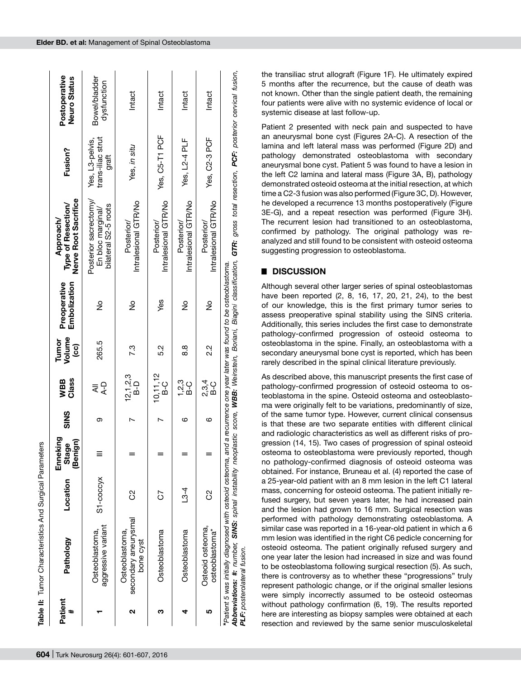|              | Table II: Tumor Characteristics And Surgical Parameters                                   |                |                                   |             |                     |                         |                                                                |                                                                                                                                                                                   |                                               |                               |
|--------------|-------------------------------------------------------------------------------------------|----------------|-----------------------------------|-------------|---------------------|-------------------------|----------------------------------------------------------------|-----------------------------------------------------------------------------------------------------------------------------------------------------------------------------------|-----------------------------------------------|-------------------------------|
| Patient<br># | Pathology                                                                                 | Location       | Enneking<br>ign)<br>Stage<br>(Ben | <b>SINS</b> | Class<br>WBB        | Volume<br>Tumor<br>(၁၁) | Preoperative<br>Embolization                                   | Nerve Root Sacrifice<br>Type of Resection/<br>Approach/                                                                                                                           | Fusion?                                       | Postoperative<br>Neuro Status |
|              | dgressive variant<br>Osteoblastoma,                                                       | S1-coccyx      |                                   | ග           | $A - D$             | 265.5                   | $\frac{1}{2}$                                                  | Posterior sacrectomy/<br>bilateral S2-5 roots<br>En bloc marginal/                                                                                                                | trans-iliac strut<br>Yes, L3-pelvis,<br>graft | Bowel/bladder<br>dysfunction  |
| ີ            | secondary aneurysmal<br>Osteoblastoma<br>bone cyst                                        | ပိ             |                                   |             | 12,1,2,3<br>B-D     | 7.3                     | $\frac{1}{2}$                                                  | Intralesional GTR/No<br>Posterior/                                                                                                                                                | Yes, in situ                                  | Intact                        |
| ო            | Osteoblastoma                                                                             | 5              |                                   |             | $10, 11, 12$<br>B-C | 52                      | yes                                                            | Intralesional GTR/No<br>Posterior/                                                                                                                                                | Yes, C5-T1 PCF                                | Intact                        |
|              | Osteoblastoma                                                                             | $\frac{134}{}$ |                                   | ဖ           | 1,2,3<br>C-G        | 83                      | $\frac{1}{2}$                                                  | Intralesional GTR/No<br>Posterior/                                                                                                                                                | Yes, L2-4 PLF                                 | Intact                        |
|              | Osteoid osteoma,<br>osteoblastoma*                                                        | S)             |                                   | ဖ           | 2,3,4<br>B-C        | 22                      | $\frac{1}{2}$                                                  | Intralesional GTR/No<br>Posterior/                                                                                                                                                | Yes, C2-3 PCF                                 | Intact                        |
|              | *Patient 5 was initially diagnosed with osteoid osteoma, a<br>PLF: posterolateral fusion. |                |                                   |             |                     |                         | and a recurrence one year later was found to be osteoblastoma. | Abbreviations: #: number, SINS: spinal instability neoplastic score, WBB: Weinstein, Boriani, Biagini classification, GTR: gross total resection, PCF: posterior cervical fusion, |                                               |                               |

the transiliac strut allograft (Figure 1f). He ultimately expired 5 months after the recurrence, but the cause of death was not known. Other than the single patient death, the remaining four patients were alive with no systemic evidence of local or systemic disease at last follow-up.

Patient 2 presented with neck pain and suspected to have an aneurysmal bone cyst (Figures 2a-c). A resection of the lamina and left lateral mass was performed (Figure 2D) and pathology demonstrated osteoblastoma with secondary aneurysmal bone cyst. Patient 5 was found to have a lesion in the left C2 lamina and lateral mass (Figure 3A, B), pathology demonstrated osteoid osteoma at the initial resection, at which time a C2-3 fusion was also performed (Figure 3C, D). However, he developed a recurrence 13 months postoperatively (Figure 3E-g), and a repeat resection was performed (Figure 3h). The recurrent lesion had transitioned to an osteoblastoma, confirmed by pathology. The original pathology was reanalyzed and still found to be consistent with osteoid osteoma suggesting progression to osteoblastoma.

# █ **DISCUSSION**

Although several other larger series of spinal osteoblastomas have been reported (2, 8, 16, 17, 20, 21, 24), to the best of our knowledge, this is the first primary tumor series to assess preoperative spinal stability using the SINS criteria. Additionally, this series includes the first case to demonstrate pathology-confirmed progression of osteoid osteoma to osteoblastoma in the spine. Finally, an osteoblastoma with a secondary aneurysmal bone cyst is reported, which has been rarely described in the spinal clinical literature previously.

As described above, this manuscript presents the first case of pathology-confirmed progression of osteoid osteoma to osteoblastoma in the spine. Osteoid osteoma and osteoblastoma were originally felt to be variations, predominantly of size, of the same tumor type. However, current clinical consensus is that these are two separate entities with different clinical and radiologic characteristics as well as different risks of progression (14, 15). Two cases of progression of spinal osteoid osteoma to osteoblastoma were previously reported, though no pathology-confirmed diagnosis of osteoid osteoma was obtained. For instance, Bruneau et al. (4) reported the case of a 25-year-old patient with an 8 mm lesion in the left C1 lateral mass, concerning for osteoid osteoma. The patient initially refused surgery, but seven years later, he had increased pain and the lesion had grown to 16 mm. Surgical resection was performed with pathology demonstrating osteoblastoma. A similar case was reported in a 16-year-old patient in which a 6 mm lesion was identified in the right C6 pedicle concerning for osteoid osteoma. The patient originally refused surgery and one year later the lesion had increased in size and was found to be osteoblastoma following surgical resection (5). As such, there is controversy as to whether these "progressions" truly represent pathologic change, or if the original smaller lesions were simply incorrectly assumed to be osteoid osteomas without pathology confirmation (6, 19). The results reported here are interesting as biopsy samples were obtained at each resection and reviewed by the same senior musculoskeletal

Table II: Tumor Characteristics And Surgical Parameters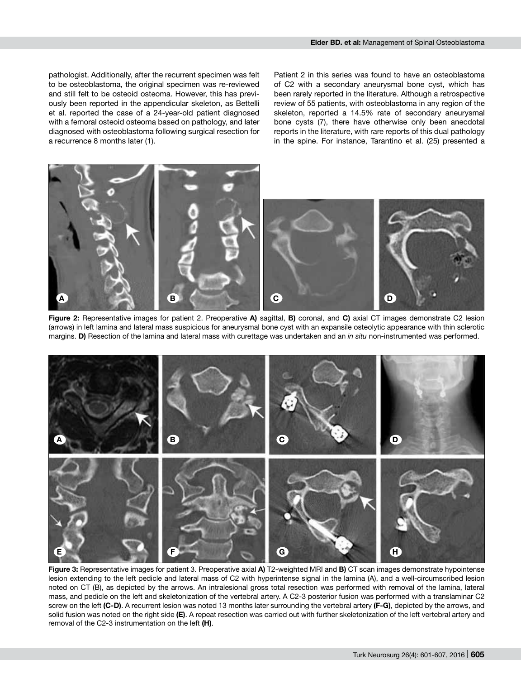pathologist. Additionally, after the recurrent specimen was felt to be osteoblastoma, the original specimen was re-reviewed and still felt to be osteoid osteoma. However, this has previously been reported in the appendicular skeleton, as Bettelli et al. reported the case of a 24-year-old patient diagnosed with a femoral osteoid osteoma based on pathology, and later diagnosed with osteoblastoma following surgical resection for a recurrence 8 months later (1).

Patient 2 in this series was found to have an osteoblastoma of C2 with a secondary aneurysmal bone cyst, which has been rarely reported in the literature. Although a retrospective review of 55 patients, with osteoblastoma in any region of the skeleton, reported a 14.5% rate of secondary aneurysmal bone cysts (7), there have otherwise only been anecdotal reports in the literature, with rare reports of this dual pathology in the spine. For instance, Tarantino et al. (25) presented a



**Figure 2:** Representative images for patient 2. Preoperative **a)** sagittal, **b)** coronal, and **c)** axial CT images demonstrate C2 lesion (arrows) in left lamina and lateral mass suspicious for aneurysmal bone cyst with an expansile osteolytic appearance with thin sclerotic margins. **d)** Resection of the lamina and lateral mass with curettage was undertaken and an *in situ* non-instrumented was performed.



**Figure 3:** Representative images for patient 3. Preoperative axial **a)** T2-weighted MRI and **b)** CT scan images demonstrate hypointense lesion extending to the left pedicle and lateral mass of C2 with hyperintense signal in the lamina (A), and a well-circumscribed lesion noted on CT (B), as depicted by the arrows. An intralesional gross total resection was performed with removal of the lamina, lateral mass, and pedicle on the left and skeletonization of the vertebral artery. A C2-3 posterior fusion was performed with a translaminar C2 screw on the left **(c-d)**. A recurrent lesion was noted 13 months later surrounding the vertebral artery **(f-g)**, depicted by the arrows, and solid fusion was noted on the right side **(e)**. A repeat resection was carried out with further skeletonization of the left vertebral artery and removal of the C2-3 instrumentation on the left **(h)**.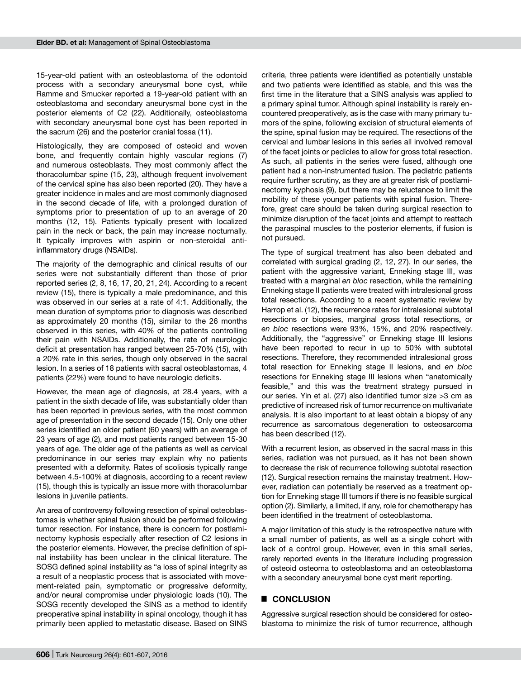15-year-old patient with an osteoblastoma of the odontoid process with a secondary aneurysmal bone cyst, while Ramme and Smucker reported a 19-year-old patient with an osteoblastoma and secondary aneurysmal bone cyst in the posterior elements of C2 (22). Additionally, osteoblastoma with secondary aneurysmal bone cyst has been reported in the sacrum (26) and the posterior cranial fossa (11).

Histologically, they are composed of osteoid and woven bone, and frequently contain highly vascular regions (7) and numerous osteoblasts. They most commonly affect the thoracolumbar spine (15, 23), although frequent involvement of the cervical spine has also been reported (20). They have a greater incidence in males and are most commonly diagnosed in the second decade of life, with a prolonged duration of symptoms prior to presentation of up to an average of 20 months (12, 15). Patients typically present with localized pain in the neck or back, the pain may increase nocturnally. It typically improves with aspirin or non-steroidal antiinflammatory drugs (NSAIDs).

The majority of the demographic and clinical results of our series were not substantially different than those of prior reported series (2, 8, 16, 17, 20, 21, 24). According to a recent review (15), there is typically a male predominance, and this was observed in our series at a rate of 4:1. Additionally, the mean duration of symptoms prior to diagnosis was described as approximately 20 months (15), similar to the 26 months observed in this series, with 40% of the patients controlling their pain with NSAIDs. Additionally, the rate of neurologic deficit at presentation has ranged between 25-70% (15), with a 20% rate in this series, though only observed in the sacral lesion. In a series of 18 patients with sacral osteoblastomas, 4 patients (22%) were found to have neurologic deficits.

However, the mean age of diagnosis, at 28.4 years, with a patient in the sixth decade of life, was substantially older than has been reported in previous series, with the most common age of presentation in the second decade (15). Only one other series identified an older patient (60 years) with an average of 23 years of age (2), and most patients ranged between 15-30 years of age. The older age of the patients as well as cervical predominance in our series may explain why no patients presented with a deformity. Rates of scoliosis typically range between 4.5-100% at diagnosis, according to a recent review (15), though this is typically an issue more with thoracolumbar lesions in juvenile patients.

An area of controversy following resection of spinal osteoblastomas is whether spinal fusion should be performed following tumor resection. For instance, there is concern for postlaminectomy kyphosis especially after resection of C2 lesions in the posterior elements. However, the precise definition of spinal instability has been unclear in the clinical literature. The SOSG defined spinal instability as "a loss of spinal integrity as a result of a neoplastic process that is associated with movement-related pain, symptomatic or progressive deformity, and/or neural compromise under physiologic loads (10). The SOSG recently developed the SINS as a method to identify preoperative spinal instability in spinal oncology, though it has primarily been applied to metastatic disease. Based on SINS

criteria, three patients were identified as potentially unstable and two patients were identified as stable, and this was the first time in the literature that a SINS analysis was applied to a primary spinal tumor. Although spinal instability is rarely encountered preoperatively, as is the case with many primary tumors of the spine, following excision of structural elements of the spine, spinal fusion may be required. The resections of the cervical and lumbar lesions in this series all involved removal of the facet joints or pedicles to allow for gross total resection. As such, all patients in the series were fused, although one patient had a non-instrumented fusion. The pediatric patients require further scrutiny, as they are at greater risk of postlaminectomy kyphosis (9), but there may be reluctance to limit the mobility of these younger patients with spinal fusion. Therefore, great care should be taken during surgical resection to minimize disruption of the facet joints and attempt to reattach the paraspinal muscles to the posterior elements, if fusion is not pursued.

The type of surgical treatment has also been debated and correlated with surgical grading (2, 12, 27). In our series, the patient with the aggressive variant. Enneking stage III, was treated with a marginal *en bloc* resection, while the remaining Enneking stage II patients were treated with intralesional gross total resections. According to a recent systematic review by Harrop et al. (12), the recurrence rates for intralesional subtotal resections or biopsies, marginal gross total resections, or *en bloc* resections were 93%, 15%, and 20% respectively. Additionally, the "aggressive" or Enneking stage III lesions have been reported to recur in up to 50% with subtotal resections. Therefore, they recommended intralesional gross total resection for Enneking stage II lesions, and *en bloc* resections for Enneking stage III lesions when "anatomically feasible," and this was the treatment strategy pursued in our series. Yin et al. (27) also identified tumor size >3 cm as predictive of increased risk of tumor recurrence on multivariate analysis. It is also important to at least obtain a biopsy of any recurrence as sarcomatous degeneration to osteosarcoma has been described (12).

With a recurrent lesion, as observed in the sacral mass in this series, radiation was not pursued, as it has not been shown to decrease the risk of recurrence following subtotal resection (12). Surgical resection remains the mainstay treatment. However, radiation can potentially be reserved as a treatment option for Enneking stage III tumors if there is no feasible surgical option (2). Similarly, a limited, if any, role for chemotherapy has been identified in the treatment of osteoblastoma.

A major limitation of this study is the retrospective nature with a small number of patients, as well as a single cohort with lack of a control group. However, even in this small series, rarely reported events in the literature including progression of osteoid osteoma to osteoblastoma and an osteoblastoma with a secondary aneurysmal bone cyst merit reporting.

#### █ **CONCLUSION**

Aggressive surgical resection should be considered for osteoblastoma to minimize the risk of tumor recurrence, although